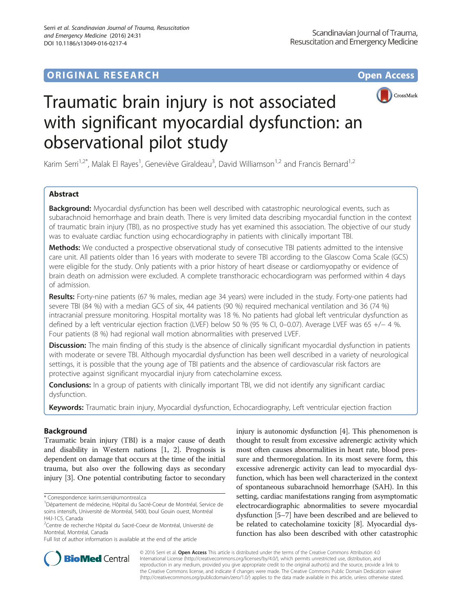# **ORIGINAL RESEARCH CONSUMING ACCESS**



# Traumatic brain injury is not associated with significant myocardial dysfunction: an observational pilot study

Karim Serri<sup>1,2\*</sup>, Malak El Rayes<sup>1</sup>, Geneviève Giraldeau<sup>3</sup>, David Williamson<sup>1,2</sup> and Francis Bernard<sup>1,2</sup>

# Abstract

**Background:** Myocardial dysfunction has been well described with catastrophic neurological events, such as subarachnoid hemorrhage and brain death. There is very limited data describing myocardial function in the context of traumatic brain injury (TBI), as no prospective study has yet examined this association. The objective of our study was to evaluate cardiac function using echocardiography in patients with clinically important TBI.

Methods: We conducted a prospective observational study of consecutive TBI patients admitted to the intensive care unit. All patients older than 16 years with moderate to severe TBI according to the Glascow Coma Scale (GCS) were eligible for the study. Only patients with a prior history of heart disease or cardiomyopathy or evidence of brain death on admission were excluded. A complete transthoracic echocardiogram was performed within 4 days of admission.

Results: Forty-nine patients (67 % males, median age 34 years) were included in the study. Forty-one patients had severe TBI (84 %) with a median GCS of six, 44 patients (90 %) required mechanical ventilation and 36 (74 %) intracranial pressure monitoring. Hospital mortality was 18 %. No patients had global left ventricular dysfunction as defined by a left ventricular ejection fraction (LVEF) below 50 % (95 % CI, 0–0.07). Average LVEF was 65 +/− 4 %. Four patients (8 %) had regional wall motion abnormalities with preserved LVEF.

Discussion: The main finding of this study is the absence of clinically significant myocardial dysfunction in patients with moderate or severe TBI. Although myocardial dysfunction has been well described in a variety of neurological settings, it is possible that the young age of TBI patients and the absence of cardiovascular risk factors are protective against significant myocardial injury from catecholamine excess.

**Conclusions:** In a group of patients with clinically important TBI, we did not identify any significant cardiac dysfunction.

Keywords: Traumatic brain injury, Myocardial dysfunction, Echocardiography, Left ventricular ejection fraction

## Background

Traumatic brain injury (TBI) is a major cause of death and disability in Western nations [[1, 2](#page-4-0)]. Prognosis is dependent on damage that occurs at the time of the initial trauma, but also over the following days as secondary injury [[3](#page-4-0)]. One potential contributing factor to secondary

injury is autonomic dysfunction [[4\]](#page-4-0). This phenomenon is thought to result from excessive adrenergic activity which most often causes abnormalities in heart rate, blood pressure and thermoregulation. In its most severe form, this excessive adrenergic activity can lead to myocardial dysfunction, which has been well characterized in the context of spontaneous subarachnoid hemorrhage (SAH). In this setting, cardiac manifestations ranging from asymptomatic electrocardiographic abnormalities to severe myocardial dysfunction [\[5](#page-4-0)–[7\]](#page-4-0) have been described and are believed to be related to catecholamine toxicity [\[8](#page-4-0)]. Myocardial dysfunction has also been described with other catastrophic



© 2016 Serri et al. Open Access This article is distributed under the terms of the Creative Commons Attribution 4.0 International License [\(http://creativecommons.org/licenses/by/4.0/](http://creativecommons.org/licenses/by/4.0/)), which permits unrestricted use, distribution, and reproduction in any medium, provided you give appropriate credit to the original author(s) and the source, provide a link to the Creative Commons license, and indicate if changes were made. The Creative Commons Public Domain Dedication waiver [\(http://creativecommons.org/publicdomain/zero/1.0/](http://creativecommons.org/publicdomain/zero/1.0/)) applies to the data made available in this article, unless otherwise stated.

<sup>\*</sup> Correspondence: [karim.serri@umontreal.ca](mailto:karim.serri@umontreal.ca) <sup>1</sup>

Département de médecine, Hôpital du Sacré-Coeur de Montréal, Service de soins intensifs, Université de Montréal, 5400, boul Gouin ouest, Montréal H4J-1C5, Canada

<sup>&</sup>lt;sup>2</sup>Centre de recherche Hôpital du Sacré-Coeur de Montréal, Université de Montréal, Montréal, Canada

Full list of author information is available at the end of the article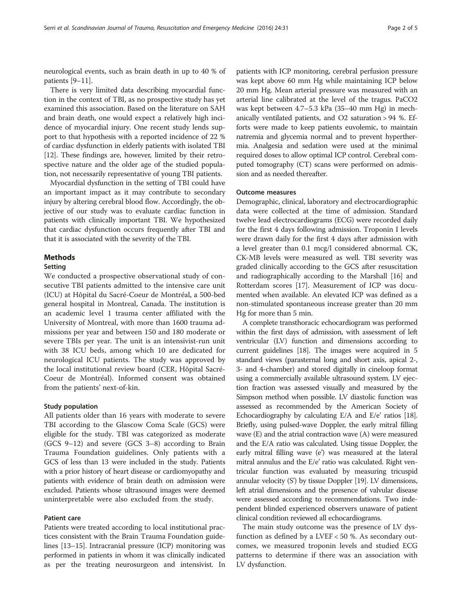neurological events, such as brain death in up to 40 % of patients [[9](#page-4-0)–[11](#page-4-0)].

There is very limited data describing myocardial function in the context of TBI, as no prospective study has yet examined this association. Based on the literature on SAH and brain death, one would expect a relatively high incidence of myocardial injury. One recent study lends support to that hypothesis with a reported incidence of 22 % of cardiac dysfunction in elderly patients with isolated TBI [[12](#page-4-0)]. These findings are, however, limited by their retrospective nature and the older age of the studied population, not necessarily representative of young TBI patients.

Myocardial dysfunction in the setting of TBI could have an important impact as it may contribute to secondary injury by altering cerebral blood flow. Accordingly, the objective of our study was to evaluate cardiac function in patients with clinically important TBI. We hypothesized that cardiac dysfunction occurs frequently after TBI and that it is associated with the severity of the TBI.

#### Methods

#### Setting

We conducted a prospective observational study of consecutive TBI patients admitted to the intensive care unit (ICU) at Hôpital du Sacré-Coeur de Montréal, a 500-bed general hospital in Montreal, Canada. The institution is an academic level 1 trauma center affiliated with the University of Montreal, with more than 1600 trauma admissions per year and between 150 and 180 moderate or severe TBIs per year. The unit is an intensivist-run unit with 38 ICU beds, among which 10 are dedicated for neurological ICU patients. The study was approved by the local institutional review board (CER, Hôpital Sacré-Coeur de Montréal). Informed consent was obtained from the patients' next-of-kin.

#### Study population

All patients older than 16 years with moderate to severe TBI according to the Glascow Coma Scale (GCS) were eligible for the study. TBI was categorized as moderate (GCS 9–12) and severe (GCS 3–8) according to Brain Trauma Foundation guidelines. Only patients with a GCS of less than 13 were included in the study. Patients with a prior history of heart disease or cardiomyopathy and patients with evidence of brain death on admission were excluded. Patients whose ultrasound images were deemed uninterpretable were also excluded from the study.

#### Patient care

Patients were treated according to local institutional practices consistent with the Brain Trauma Foundation guidelines [[13](#page-4-0)–[15\]](#page-4-0). Intracranial pressure (ICP) monitoring was performed in patients in whom it was clinically indicated as per the treating neurosurgeon and intensivist. In

patients with ICP monitoring, cerebral perfusion pressure was kept above 60 mm Hg while maintaining ICP below 20 mm Hg. Mean arterial pressure was measured with an arterial line calibrated at the level of the tragus. PaCO2 was kept between 4.7–5.3 kPa (35–40 mm Hg) in mechanically ventilated patients, and O2 saturation > 94 %. Efforts were made to keep patients euvolemic, to maintain natremia and glycemia normal and to prevent hyperthermia. Analgesia and sedation were used at the minimal required doses to allow optimal ICP control. Cerebral computed tomography (CT) scans were performed on admission and as needed thereafter.

#### Outcome measures

Demographic, clinical, laboratory and electrocardiographic data were collected at the time of admission. Standard twelve lead electrocardiograms (ECG) were recorded daily for the first 4 days following admission. Troponin I levels were drawn daily for the first 4 days after admission with a level greater than 0.1 mcg/l considered abnormal. CK, CK-MB levels were measured as well. TBI severity was graded clinically according to the GCS after resuscitation and radiographically according to the Marshall [[16](#page-4-0)] and Rotterdam scores [\[17\]](#page-4-0). Measurement of ICP was documented when available. An elevated ICP was defined as a non-stimulated spontaneous increase greater than 20 mm Hg for more than 5 min.

A complete transthoracic echocardiogram was performed within the first days of admission, with assessment of left ventricular (LV) function and dimensions according to current guidelines [[18](#page-4-0)]. The images were acquired in 5 standard views (parasternal long and short axis, apical 2-, 3- and 4-chamber) and stored digitally in cineloop format using a commercially available ultrasound system. LV ejection fraction was assessed visually and measured by the Simpson method when possible. LV diastolic function was assessed as recommended by the American Society of Echocardiography by calculating E/A and E/e' ratios [\[18](#page-4-0)]. Briefly, using pulsed-wave Doppler, the early mitral filling wave (E) and the atrial contraction wave (A) were measured and the E/A ratio was calculated. Using tissue Doppler, the early mitral filling wave (e') was measured at the lateral mitral annulus and the E/e' ratio was calculated. Right ventricular function was evaluated by measuring tricuspid annular velocity (S') by tissue Doppler [\[19\]](#page-4-0). LV dimensions, left atrial dimensions and the presence of valvular disease were assessed according to recommendations. Two independent blinded experienced observers unaware of patient clinical condition reviewed all echocardiograms.

The main study outcome was the presence of LV dysfunction as defined by a LVEF < 50 %. As secondary outcomes, we measured troponin levels and studied ECG patterns to determine if there was an association with LV dysfunction.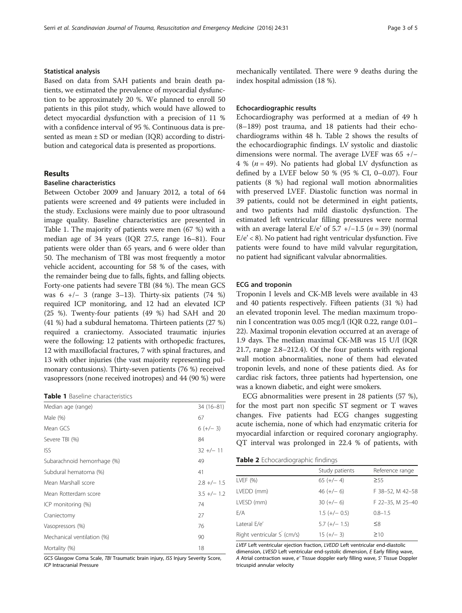#### Statistical analysis

Based on data from SAH patients and brain death patients, we estimated the prevalence of myocardial dysfunction to be approximately 20 %. We planned to enroll 50 patients in this pilot study, which would have allowed to detect myocardial dysfunction with a precision of 11 % with a confidence interval of 95 %. Continuous data is presented as mean  $\pm$  SD or median (IOR) according to distribution and categorical data is presented as proportions.

#### Results

## Baseline characteristics

Between October 2009 and January 2012, a total of 64 patients were screened and 49 patients were included in the study. Exclusions were mainly due to poor ultrasound image quality. Baseline characteristics are presented in Table 1. The majority of patients were men (67 %) with a median age of 34 years (IQR 27.5, range 16–81). Four patients were older than 65 years, and 6 were older than 50. The mechanism of TBI was most frequently a motor vehicle accident, accounting for 58 % of the cases, with the remainder being due to falls, fights, and falling objects. Forty-one patients had severe TBI (84 %). The mean GCS was 6 +/− 3 (range 3–13). Thirty-six patients (74 %) required ICP monitoring, and 12 had an elevated ICP (25 %). Twenty-four patients (49 %) had SAH and 20 (41 %) had a subdural hematoma. Thirteen patients (27 %) required a craniectomy. Associated traumatic injuries were the following: 12 patients with orthopedic fractures, 12 with maxillofacial fractures, 7 with spinal fractures, and 13 with other injuries (the vast majority representing pulmonary contusions). Thirty-seven patients (76 %) received vasopressors (none received inotropes) and 44 (90 %) were

| <b>Table 1</b> Baseline characteristics |  |
|-----------------------------------------|--|
|-----------------------------------------|--|

| Median age (range)          | $34(16-81)$   |
|-----------------------------|---------------|
| Male $(\%)$                 | 67            |
| Mean GCS                    | $6 (+/- 3)$   |
| Severe TBI (%)              | 84            |
| <b>ISS</b>                  | $32 +/- 11$   |
| Subarachnoid hemorrhage (%) | 49            |
| Subdural hematoma (%)       | 41            |
| Mean Marshall score         | $2.8 +/- 1.5$ |
| Mean Rotterdam score        | $3.5 +/- 1.2$ |
| ICP monitoring (%)          | 74            |
| Craniectomy                 | 27            |
| Vasopressors (%)            | 76            |
| Mechanical ventilation (%)  | 90            |
| Mortality (%)               | 18            |

GCS Glasgow Coma Scale, TBI Traumatic brain injury, ISS Injury Severity Score, ICP Intracranial Pressure

mechanically ventilated. There were 9 deaths during the index hospital admission (18 %).

#### Echocardiographic results

Echocardiography was performed at a median of 49 h (8–189) post trauma, and 18 patients had their echochardiograms within 48 h. Table 2 shows the results of the echocardiographic findings. LV systolic and diastolic dimensions were normal. The average LVEF was 65 +/− 4 % ( $n = 49$ ). No patients had global LV dysfunction as defined by a LVEF below 50 % (95 % CI, 0-0.07). Four patients (8 %) had regional wall motion abnormalities with preserved LVEF. Diastolic function was normal in 39 patients, could not be determined in eight patients, and two patients had mild diastolic dysfunction. The estimated left ventricular filling pressures were normal with an average lateral E/e' of 5.7 +/-1.5 ( $n = 39$ ) (normal  $E/e' < 8$ ). No patient had right ventricular dysfunction. Five patients were found to have mild valvular regurgitation, no patient had significant valvular abnormalities.

#### ECG and troponin

Troponin I levels and CK-MB levels were available in 43 and 40 patients respectively. Fifteen patients (31 %) had an elevated troponin level. The median maximum troponin I concentration was 0.05 mcg/l (IQR 0.22, range 0.01– 22). Maximal troponin elevation occurred at an average of 1.9 days. The median maximal CK-MB was 15 U/l (IQR 21.7, range 2.8–212.4). Of the four patients with regional wall motion abnormalities, none of them had elevated troponin levels, and none of these patients died. As for cardiac risk factors, three patients had hypertension, one was a known diabetic, and eight were smokers.

ECG abnormalities were present in 28 patients (57 %), for the most part non specific ST segment or T waves changes. Five patients had ECG changes suggesting acute ischemia, none of which had enzymatic criteria for myocardial infarction or required coronary angiography. QT interval was prolonged in 22.4 % of patients, with

|  | Table 2 Echocardiographic findings |  |  |
|--|------------------------------------|--|--|
|  |                                    |  |  |
|  |                                    |  |  |
|  |                                    |  |  |

| Study patients  | Reference range  |
|-----------------|------------------|
| $65 (+/- 4)$    | $\geq 55$        |
| $46 (+/- 6)$    | F 38-52, M 42-58 |
| $30 (+/- 6)$    | F 22-35, M 25-40 |
| $1.5 (+/- 0.5)$ | $0.8 - 1.5$      |
| $5.7 (+/- 1.5)$ | $\leq 8$         |
| $15 (+/- 3)$    | $\geq 10$        |
|                 |                  |

LVEF Left ventricular ejection fraction, LVEDD Left ventricular end-diastolic dimension, LVESD Left ventricular end-systolic dimension, E Early filling wave, A Atrial contraction wave, e' Tissue doppler early filling wave, S' Tissue Doppler tricuspid annular velocity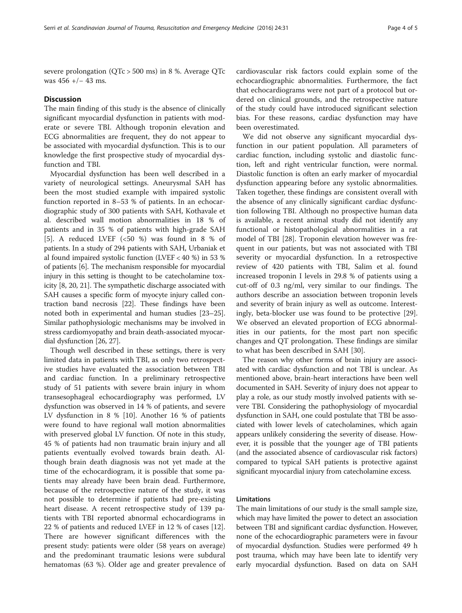severe prolongation (QTc > 500 ms) in 8 %. Average QTc was 456 +/− 43 ms.

#### **Discussion**

The main finding of this study is the absence of clinically significant myocardial dysfunction in patients with moderate or severe TBI. Although troponin elevation and ECG abnormalities are frequent, they do not appear to be associated with myocardial dysfunction. This is to our knowledge the first prospective study of myocardial dysfunction and TBI.

Myocardial dysfunction has been well described in a variety of neurological settings. Aneurysmal SAH has been the most studied example with impaired systolic function reported in 8–53 % of patients. In an echocardiographic study of 300 patients with SAH, Kothavale et al. described wall motion abnormalities in 18 % of patients and in 35 % of patients with high-grade SAH [[5\]](#page-4-0). A reduced LVEF (<50 %) was found in 8 % of patients. In a study of 294 patients with SAH, Urbaniak et al found impaired systolic function (LVEF < 40 %) in 53 % of patients [[6](#page-4-0)]. The mechanism responsible for myocardial injury in this setting is thought to be catecholamine toxicity [\[8, 20](#page-4-0), [21\]](#page-4-0). The sympathetic discharge associated with SAH causes a specific form of myocyte injury called contraction band necrosis [\[22\]](#page-4-0). These findings have been noted both in experimental and human studies [\[23](#page-4-0)–[25](#page-4-0)]. Similar pathophysiologic mechanisms may be involved in stress cardiomyopathy and brain death-associated myocardial dysfunction [\[26, 27](#page-4-0)].

Though well described in these settings, there is very limited data in patients with TBI, as only two retrospective studies have evaluated the association between TBI and cardiac function. In a preliminary retrospective study of 51 patients with severe brain injury in whom transesophageal echocardiography was performed, LV dysfunction was observed in 14 % of patients, and severe LV dysfunction in 8 % [[10](#page-4-0)]. Another 16 % of patients were found to have regional wall motion abnormalities with preserved global LV function. Of note in this study, 45 % of patients had non traumatic brain injury and all patients eventually evolved towards brain death. Although brain death diagnosis was not yet made at the time of the echocardiogram, it is possible that some patients may already have been brain dead. Furthermore, because of the retrospective nature of the study, it was not possible to determine if patients had pre-existing heart disease. A recent retrospective study of 139 patients with TBI reported abnormal echocardiograms in 22 % of patients and reduced LVEF in 12 % of cases [\[12](#page-4-0)]. There are however significant differences with the present study: patients were older (58 years on average) and the predominant traumatic lesions were subdural hematomas (63 %). Older age and greater prevalence of

cardiovascular risk factors could explain some of the echocardiographic abnormalities. Furthermore, the fact that echocardiograms were not part of a protocol but ordered on clinical grounds, and the retrospective nature of the study could have introduced significant selection bias. For these reasons, cardiac dysfunction may have been overestimated.

We did not observe any significant myocardial dysfunction in our patient population. All parameters of cardiac function, including systolic and diastolic function, left and right ventricular function, were normal. Diastolic function is often an early marker of myocardial dysfunction appearing before any systolic abnormalities. Taken together, these findings are consistent overall with the absence of any clinically significant cardiac dysfunction following TBI. Although no prospective human data is available, a recent animal study did not identify any functional or histopathological abnormalities in a rat model of TBI [\[28\]](#page-4-0). Troponin elevation however was frequent in our patients, but was not associated with TBI severity or myocardial dysfunction. In a retrospective review of 420 patients with TBI, Salim et al. found increased troponin I levels in 29.8 % of patients using a cut-off of 0.3 ng/ml, very similar to our findings. The authors describe an association between troponin levels and severity of brain injury as well as outcome. Interestingly, beta-blocker use was found to be protective [\[29](#page-4-0)]. We observed an elevated proportion of ECG abnormalities in our patients, for the most part non specific changes and QT prolongation. These findings are similar to what has been described in SAH [[30\]](#page-4-0).

The reason why other forms of brain injury are associated with cardiac dysfunction and not TBI is unclear. As mentioned above, brain-heart interactions have been well documented in SAH. Severity of injury does not appear to play a role, as our study mostly involved patients with severe TBI. Considering the pathophysiology of myocardial dysfunction in SAH, one could postulate that TBI be associated with lower levels of catecholamines, which again appears unlikely considering the severity of disease. However, it is possible that the younger age of TBI patients (and the associated absence of cardiovascular risk factors) compared to typical SAH patients is protective against significant myocardial injury from catecholamine excess.

### Limitations

The main limitations of our study is the small sample size, which may have limited the power to detect an association between TBI and significant cardiac dysfunction. However, none of the echocardiographic parameters were in favour of myocardial dysfunction. Studies were performed 49 h post trauma, which may have been late to identify very early myocardial dysfunction. Based on data on SAH